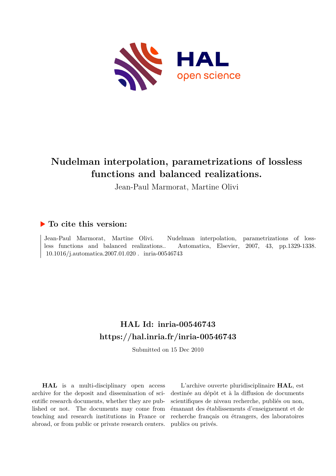

# **Nudelman interpolation, parametrizations of lossless functions and balanced realizations.**

Jean-Paul Marmorat, Martine Olivi

## **To cite this version:**

Jean-Paul Marmorat, Martine Olivi. Nudelman interpolation, parametrizations of lossless functions and balanced realizations.. Automatica, Elsevier, 2007, 43, pp.1329-1338.  $10.1016/j.automatica.2007.01.020$ . inria-00546743

## **HAL Id: inria-00546743 <https://hal.inria.fr/inria-00546743>**

Submitted on 15 Dec 2010

**HAL** is a multi-disciplinary open access archive for the deposit and dissemination of scientific research documents, whether they are published or not. The documents may come from teaching and research institutions in France or abroad, or from public or private research centers.

L'archive ouverte pluridisciplinaire **HAL**, est destinée au dépôt et à la diffusion de documents scientifiques de niveau recherche, publiés ou non, émanant des établissements d'enseignement et de recherche français ou étrangers, des laboratoires publics ou privés.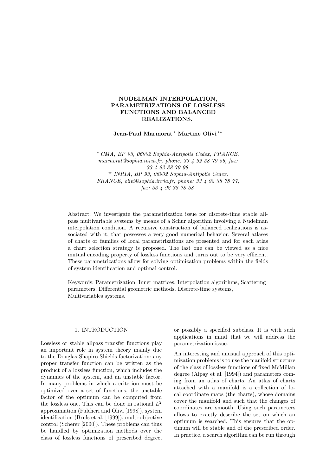#### NUDELMAN INTERPOLATION, PARAMETRIZATIONS OF LOSSLESS FUNCTIONS AND BALANCED REALIZATIONS.

Jean-Paul Marmorat <sup>∗</sup> Martine Olivi ∗∗

<sup>∗</sup> *CMA, BP 93, 06902 Sophia-Antipolis Cedex, FRANCE, marmorat@sophia.inria.fr, phone: 33 4 92 38 79 56, fax: 33 4 92 38 79 98* ∗∗ *INRIA, BP 93, 06902 Sophia-Antipolis Cedex, FRANCE, olivi@sophia.inria.fr, phone: 33 4 92 38 78 77, fax: 33 4 92 38 78 58*

Abstract: We investigate the parametrization issue for discrete-time stable allpass multivariable systems by means of a Schur algorithm involving a Nudelman interpolation condition. A recursive construction of balanced realizations is associated with it, that possesses a very good numerical behavior. Several atlases of charts or families of local parametrizations are presented and for each atlas a chart selection strategy is proposed. The last one can be viewed as a nice mutual encoding property of lossless functions and turns out to be very efficient. These parametrizations allow for solving optimization problems within the fields of system identification and optimal control.

Keywords: Parametrization, Inner matrices, Interpolation algorithms, Scattering parameters, Differential geometric methods, Discrete-time systems, Multivariables systems.

#### 1. INTRODUCTION

Lossless or stable allpass transfer functions play an important role in system theory mainly due to the Douglas-Shapiro-Shields factorization: any proper transfer function can be written as the product of a lossless function, which includes the dynamics of the system, and an unstable factor. In many problems in which a criterion must be optimized over a set of functions, the unstable factor of the optimum can be computed from the lossless one. This can be done in rational  $L^2$ approximation (Fulcheri and Olivi [1998]), system identification (Bruls et al. [1999]), multi-objective control (Scherer [2000]). These problems can thus be handled by optimization methods over the class of lossless functions of prescribed degree, or possibly a specified subclass. It is with such applications in mind that we will address the parametrization issue.

An interesting and unusual approach of this optimization problems is to use the manifold structure of the class of lossless functions of fixed McMillan degree (Alpay et al. [1994]) and parameters coming from an atlas of charts. An atlas of charts attached with a manifold is a collection of local coordinate maps (the charts), whose domains cover the manifold and such that the changes of coordinates are smooth. Using such parameters allows to exactly describe the set on which an optimum is searched. This ensures that the optimum will be stable and of the prescribed order. In practice, a search algorithm can be run through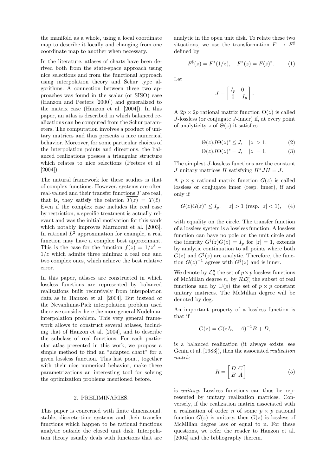the manifold as a whole, using a local coordinate map to describe it locally and changing from one coordinate map to another when necessary.

In the literature, atlases of charts have been derived both from the state-space approach using nice selections and from the functional approach using interpolation theory and Schur type algorithms. A connection between these two approaches was found in the scalar (or SISO) case (Hanzon and Peeters [2000]) and generalized to the matrix case (Hanzon et al. [2004]). In this paper, an atlas is described in which balanced realizations can be computed from the Schur parameters. The computation involves a product of unitary matrices and thus presents a nice numerical behavior. Moreover, for some particular choices of the interpolation points and directions, the balanced realizations possess a triangular structure which relates to nice selections (Peeters et al. [2004]).

The natural framework for these studies is that of complex functions. However, systems are often real-valued and their transfer functions  ${\cal T}$  are real, that is, they satisfy the relation  $T(z) = T(\bar{z})$ . Even if the complex case includes the real case by restriction, a specific treatment is actually relevant and was the initial motivation for this work which notably improves Marmorat et al. [2003]. In rational  $L^2$  approximation for example, a real function may have a complex best approximant. This is the case for the function  $f(z) = 1/z^3$  –  $1/z$  which admits three minima: a real one and two complex ones, which achieve the best relative error.

In this paper, atlases are constructed in which lossless functions are represented by balanced realizations built recursively from interpolation data as in Hanzon et al. [2004]. But instead of the Nevanlinna-Pick interpolation problem used there we consider here the more general Nudelman interpolation problem. This very general framework allows to construct several atlases, including that of Hanzon et al. [2004], and to describe the subclass of real functions. For each particular atlas presented in this work, we propose a simple method to find an "adapted chart" for a given lossless function. This last point, together with their nice numerical behavior, make these parametrizations an interesting tool for solving the optimization problems mentioned before.

#### 2. PRELIMINARIES.

This paper is concerned with finite dimensional, stable, discrete-time systems and their transfer functions which happen to be rational functions analytic outside the closed unit disk. Interpolation theory usually deals with functions that are analytic in the open unit disk. To relate these two situations, we use the transformation  $F \to F^{\sharp}$ defined by

$$
F^{\sharp}(z) = F^*(1/z), \quad F^*(z) = F(\bar{z})^*.
$$
 (1)

Let

$$
J = \left[ \begin{array}{cc} I_p & 0 \\ 0 & -I_p \end{array} \right].
$$

A  $2p \times 2p$  rational matrix function  $\Theta(z)$  is called J-lossless (or conjugate J-inner) if, at every point of analyticity z of  $\Theta(z)$  it satisfies

$$
\Theta(z)J\Theta(z)^* \le J, \quad |z| > 1,\tag{2}
$$

$$
\Theta(z)J\Theta(z)^* = J, \quad |z| = 1. \tag{3}
$$

The simplest J-lossless functions are the constant J unitary matrices H satisfying  $H^*JH = J$ .

A  $p \times p$  rational matrix function  $G(z)$  is called lossless or conjugate inner (resp. inner), if and only if

$$
G(z)G(z)^* \le I_p, \quad |z| > 1 \text{ (resp. } |z| < 1), \quad (4)
$$

with equality on the circle. The transfer function of a lossless system is a lossless function. A lossless function can have no pole on the unit circle and the identity  $G^{\sharp}(z)G(z) = I_p$  for  $|z| = 1$ , extends by analytic continuation to all points where both  $G(z)$  and  $G^{\sharp}(z)$  are analytic. Therefore, the function  $G(z)^{-1}$  agrees with  $G^{\sharp}(z)$  and is inner.

We denote by  $\mathcal{L}_n^p$  the set of  $p \times p$  lossless functions of McMillan degree n, by  $\mathcal{RL}_n^p$  the subset of real functions and by  $\mathbb{U}(p)$  the set of  $p \times p$  constant unitary matrices. The McMillan degree will be denoted by deg.

An important property of a lossless function is that if

$$
G(z) = C(zI_n - A)^{-1}B + D,
$$

is a balanced realization (it always exists, see Genin et al. [1983]), then the associated *realization matrix*

$$
R = \begin{bmatrix} D & C \\ B & A \end{bmatrix} \tag{5}
$$

is *unitary*. Lossless functions can thus be represented by unitary realization matrices. Conversely, if the realization matrix associated with a realization of order n of some  $p \times p$  rational function  $G(z)$  is unitary, then  $G(z)$  is lossless of McMillan degree less or equal to n. For these questions, we refer the reader to Hanzon et al. [2004] and the bibliography therein.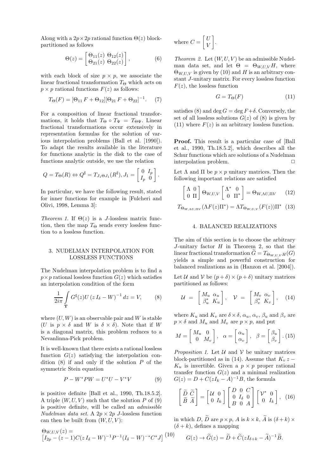Along with a  $2p \times 2p$  rational function  $\Theta(z)$  blockpartitioned as follows

$$
\Theta(z) = \begin{bmatrix} \Theta_{11}(z) & \Theta_{12}(z) \\ \Theta_{21}(z) & \Theta_{22}(z) \end{bmatrix},
$$
 (6)

with each block of size  $p \times p$ , we associate the linear fractional transformation  $T_{\Theta}$  which acts on  $p \times p$  rational functions  $F(z)$  as follows:

$$
T_{\Theta}(F) = [\Theta_{11} F + \Theta_{12}] [\Theta_{21} F + \Theta_{22}]^{-1}.
$$
 (7)

For a composition of linear fractional transformations, it holds that  $T_{\Theta} \circ T_{\Psi} = T_{\Theta \Psi}$ . Linear fractional transformations occur extensively in representation formulas for the solution of various interpolation problems (Ball et al. [1990]). To adapt the results available in the literature for functions analytic in the disk to the case of functions analytic outside, we use the relation

$$
Q = T_{\Theta}(R) \Leftrightarrow Q^{\sharp} = T_{J_1 \Theta J_1}(R^{\sharp}), J_1 = \begin{bmatrix} 0 & I_p \\ I_p & 0 \end{bmatrix}.
$$

In particular, we have the following result, stated for inner functions for example in [Fulcheri and Olivi, 1998, Lemma 3]:

*Theorem 1.* If  $\Theta(z)$  is a *J*-lossless matrix function, then the map  $T_{\Theta}$  sends every lossless function to a lossless function.

#### 3. NUDELMAN INTERPOLATION FOR LOSSLESS FUNCTIONS

The Nudelman interpolation problem is to find a  $p \times p$  rational lossless function  $G(z)$  which satisfies an interpolation condition of the form

$$
\frac{1}{2i\pi} \int_{\mathbf{T}} G^{\sharp}(z) U (z I_{\delta} - W)^{-1} dz = V,
$$
 (8)

where  $(U, W)$  is an observable pair and W is stable (U is  $p \times \delta$  and W is  $\delta \times \delta$ ). Note that if W is a diagonal matrix, this problem reduces to a Nevanlinna-Pick problem.

It is well-known that there exists a rational lossless function  $G(z)$  satisfying the interpolation condition  $(8)$  if and only if the solution  $P$  of the symmetric Stein equation

$$
P - W^*PW = U^*U - V^*V \tag{9}
$$

is positive definite [Ball et al., 1990, Th.18.5.2]. A triple  $(W, U, V)$  such that the solution P of  $(9)$ is positive definite, will be called an *admissible Nudelman data set.* A  $2p \times 2p$  *J*-lossless function can then be built from  $(W, U, V)$ :

$$
\Theta_{W,U,V}(z) = \left[I_{2p} - (z-1)C(zI_{\delta} - W)^{-1}P^{-1}(I_{\delta} - W)^{-*}C^{*}J\right]^{(10)}
$$

where 
$$
C = \begin{bmatrix} U \\ V \end{bmatrix}
$$
.

*Theorem 2.* Let  $(W, U, V)$  be an admissible Nudelman data set, and let  $\Theta = \Theta_{W,U,V} H$ , where  $\Theta_{W,U,V}$  is given by (10) and H is an arbitrary constant J-unitary matrix. For every lossless function  $F(z)$ , the lossless function

$$
G = T_{\Theta}(F) \tag{11}
$$

satisfies (8) and deg  $G = \text{deg } F + \delta$ . Conversely, the set of all lossless solutions  $G(z)$  of  $(8)$  is given by (11) where  $F(z)$  is an arbitrary lossless function.

Proof. This result is a particular case of [Ball et al., 1990, Th.18.5.2], which describes all the Schur functions which are solutions of a Nudelman interpolation problem.

Let  $\Lambda$  and  $\Pi$  be  $p \times p$  unitary matrices. Then the following important relations are satisfied

$$
\begin{bmatrix} \Lambda & 0\\ 0 & \Pi \end{bmatrix} \Theta_{W,U,V} \begin{bmatrix} \Lambda^* & 0\\ 0 & \Pi^* \end{bmatrix} = \Theta_{W,\Lambda U,\Pi V} \qquad (12)
$$

$$
T_{\Theta_{W,\Lambda U,\Pi V}}(\Lambda F(z)\Pi^*) = \Lambda T_{\Theta_{W,U,V}}(F(z))\Pi^* \quad (13)
$$

#### 4. BALANCED REALIZATIONS

The aim of this section is to choose the arbitrary J-unitary factor  $H$  in Theorem 2, so that the linear fractional transformation  $G=T_{\Theta_{WHV}}(G)$ yields a simple and powerful construction for balanced realizations as in (Hanzon et al. [2004]).

Let U and V be  $(p+\delta) \times (p+\delta)$  unitary matrices partitioned as follows:

$$
\mathcal{U} = \begin{bmatrix} M_u & \alpha_u \\ \beta_u^* & K_u \end{bmatrix}, \quad \mathcal{V} = \begin{bmatrix} M_v & \alpha_v \\ \beta_v^* & K_v \end{bmatrix}, \quad (14)
$$

where  $K_u$  and  $K_v$  are  $\delta \times \delta$ ,  $\alpha_u$ ,  $\alpha_v$ ,  $\beta_u$  and  $\beta_v$  are  $p \times \delta$  and  $M_u$  and  $M_v$  are  $p \times p$ , and put

$$
M = \begin{bmatrix} M_u & 0 \\ 0 & M_v \end{bmatrix}, \quad \alpha = \begin{bmatrix} \alpha_u \\ \alpha_v \end{bmatrix}, \quad \beta = \begin{bmatrix} \beta_u \\ \beta_v \end{bmatrix}. (15)
$$

*Proposition 1.* Let  $U$  and  $V$  be unitary matrices block-partitioned as in (14). Assume that  $K_v z K_u$  is invertible. Given a  $p \times p$  proper rational transfer function  $G(z)$  and a minimal realization  $G(z) = D + C(zI_k - A)^{-1}B$ , the formula

$$
\begin{bmatrix} \widetilde{D} & \widetilde{C} \\ \widetilde{B} & \widetilde{A} \end{bmatrix} = \begin{bmatrix} \mathcal{U} & 0 \\ 0 & I_k \end{bmatrix} \begin{bmatrix} D & 0 & C \\ 0 & I_\delta & 0 \\ B & 0 & A \end{bmatrix} \begin{bmatrix} \mathcal{V}^* & 0 \\ 0 & I_k \end{bmatrix}, (16)
$$

in which D,  $\widetilde{D}$  are  $p \times p$ , A is  $k \times k$ ,  $\widetilde{A}$  is  $(\delta + k) \times$  $(\delta + k)$ , defines a mapping

$$
G(z) \to \widetilde{G}(z) = \widetilde{D} + \widetilde{C}(zI_{\delta+k} - \widetilde{A})^{-1}\widetilde{B}.
$$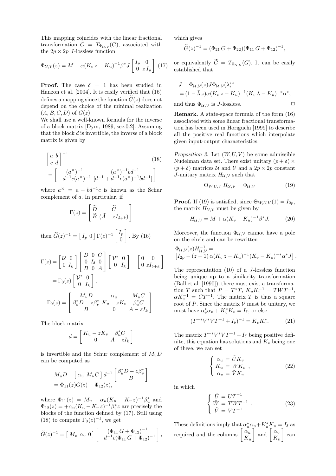This mapping coincides with the linear fractional transformation  $G = T_{\Phi_{\mathcal{U},\mathcal{V}}}(G)$ , associated with the  $2p \times 2p$  *J*-lossless function

$$
\Phi_{\mathcal{U},\mathcal{V}}(z) = M + \alpha (K_v z - K_u)^{-1} \beta^* J \begin{bmatrix} I_p & 0 \\ 0 & z I_p \end{bmatrix} . (17)
$$

**Proof.** The case  $\delta = 1$  has been studied in Hanzon et al. [2004]. It is easily verified that (16) defines a mapping since the function  $G(z)$  does not depend on the choice of the minimal realization  $(A, B, C, D)$  of  $G(z)$ .

We shall use a well-known formula for the inverse of a block matrix [Dym, 1989, sec.0.2]. Assuming that the block  $d$  is invertible, the inverse of a block matrix is given by

$$
\begin{bmatrix} a & b \\ c & d \end{bmatrix}^{-1}
$$
\n
$$
= \begin{bmatrix} (a^{\times})^{-1} & (-a^{\times})^{-1}bd^{-1} \\ -d^{-1}c(a^{\times})^{-1} & [d^{-1} + d^{-1}c(a^{\times})^{-1}bd^{-1}] \end{bmatrix}
$$
\n(18)

where  $a^{\times} = a - bd^{-1}c$  is known as the Schur complement of a. In particular, if

$$
\Gamma(z) = \left[ \begin{array}{cc} \widetilde{D} & \widetilde{C} \\ \widetilde{B} & (\widetilde{A} - zI_{\delta + k}) \end{array} \right]
$$

then  $\widetilde{G}(z)^{-1} = \begin{bmatrix} I_p & 0 \end{bmatrix} \Gamma(z)^{-1} \begin{bmatrix} I_p & 0 & 0 \end{bmatrix}$ 0 1 . By (16)

$$
\Gamma(z) = \begin{bmatrix} \mathcal{U} & 0 \\ 0 & I_k \end{bmatrix} \begin{bmatrix} D & 0 & C \\ 0 & I_{\delta} & 0 \\ B & 0 & A \end{bmatrix} \begin{bmatrix} \mathcal{V}^* & 0 \\ 0 & I_k \end{bmatrix} - \begin{bmatrix} 0 & 0 \\ 0 & zI_{\delta+k} \end{bmatrix}
$$

$$
= \Gamma_0(z) \begin{bmatrix} \mathcal{V}^* & 0 \\ 0 & I_k \end{bmatrix},
$$

$$
\Gamma_0(z) = \begin{bmatrix} M_u D & \alpha_u & M_u C \\ \beta_u^* D - z \beta_v^* & K_u - zK_v & \beta_u^* C \\ B & 0 & A - zI_k \end{bmatrix}.
$$

The block matrix

$$
d=\left[\begin{array}{cc}K_u-zK_v & \beta_u^*C \\ 0 & A-zI_k\end{array}\right]
$$

is invertible and the Schur complement of  $M_uD$ can be computed as

$$
M_u D - \left[ \alpha_u M_u C \right] d^{-1} \begin{bmatrix} \beta_u^* D - z \beta_v^* \\ B \end{bmatrix}
$$
  
=  $\Phi_{11}(z)G(z) + \Phi_{12}(z)$ ,

where  $\Phi_{11}(z) = M_u - \alpha_u (K_u - K_v z)^{-1} \beta_u^*$  and  $\Phi_{12}(z) = +\alpha_u (K_u - K_v z)^{-1} \beta_v^* z$  are precisely the blocks of the function defined by (17). Still using (18) to compute  $\Gamma_0(z)^{-1}$ , we get

$$
\widetilde{G}(z)^{-1} = \left[ M_v \ \alpha_v \ 0 \right] \left[ \frac{(\Phi_{11} G + \Phi_{12})^{-1}}{-d^{-1} c (\Phi_{11} G + \Phi_{12})^{-1}} \right],
$$

which gives

$$
\widetilde{G}(z)^{-1} = (\Phi_{21} G + \Phi_{22})(\Phi_{11} G + \Phi_{12})^{-1},
$$

or equivalently  $G = T_{\Phi_{\mathcal{U}, \mathcal{V}}}(G)$ . It can be easily established that

$$
J - \Phi_{\mathcal{U},\mathcal{V}}(z)J\Phi_{\mathcal{U},\mathcal{V}}(\lambda)^*
$$
  
=  $(1 - \bar{\lambda}z)\alpha(K_v z - K_u)^{-1}(K_v \lambda - K_u)^{-*}\alpha^*,$   
and thus  $\Phi_{\mathcal{U},\mathcal{V}}$  is *J*-lossless.

Remark. A state-space formula of the form (16) associated with some linear fractional transformation has been used in Horiguchi [1999] to describe all the positive real functions which interpolate given input-output characteristics.

*Proposition 2.* Let  $(W, U, V)$  be some admissible Nudelman data set. There exist unitary  $(p + \delta) \times$  $(p + \delta)$  matrices U and V and a  $2p \times 2p$  constant J-unitary matrix  $H_{\mathcal{U},\mathcal{V}}$  such that

$$
\Theta_{W,U,V} H_{\mathcal{U},\mathcal{V}} = \Phi_{\mathcal{U},\mathcal{V}} \tag{19}
$$

**Proof.** If (19) is satisfied, since  $\Theta_{W,U,V}(1) = I_{2p}$ , the matrix  $H_{\mathcal{U},\mathcal{V}}$  must be given by

$$
H_{\mathcal{U}, \mathcal{V}} = M + \alpha (K_v - K_u)^{-1} \beta^* J. \tag{20}
$$

Moreover, the function  $\Phi_{\mathcal{U},\mathcal{V}}$  cannot have a pole on the circle and can be rewritten

$$
\Phi_{\mathcal{U},\mathcal{V}}(z)H_{\mathcal{U},\mathcal{V}}^{-1} =
$$
\n
$$
\left[I_{2p} - (z-1)\alpha(K_v z - K_u)^{-1}(K_v - K_u)^{-*}\alpha^*J\right].
$$

The representation (10) of a J-lossless function being unique up to a similarity transformation (Ball et al. [1990]), there must exist a transformation T such that  $P = T^*T$ ,  $K_u K_v^{-1} = TWT^{-1}$ ,  $\alpha K_v^{-1} = CT^{-1}$ . The matrix T is thus a square root of P. Since the matrix  $V$  must be unitary, we must have  $\alpha_v^* \alpha_v + K_v^* K_v = I_\delta$ , or else

$$
(T^{-*}V^*VT^{-1} + I_\delta)^{-1} = K_v K_v^*.
$$
 (21)

The matrix  $T^{-*}V^*VT^{-1}+I_\delta$  being positive definite, this equation has solutions and  $K_v$  being one of these, we can set

$$
\begin{cases}\n\alpha_u = \tilde{U} K_v \\
K_u = \tilde{W} K_v \\
\alpha_v = \tilde{V} K_v\n\end{cases}
$$
\n(22)

in which

$$
\begin{cases}\n\tilde{U} = UT^{-1} \\
\tilde{W} = TWT^{-1} \\
\tilde{V} = VT^{-1}\n\end{cases} \tag{23}
$$

These definitions imply that  $\alpha_u^* \alpha_u + K_u^* K_u = I_\delta$  as required and the columns  $\begin{bmatrix} \alpha \\ \alpha \\ \alpha \end{bmatrix}$  $K_u$  $\Big\lceil \begin{array}{c} \alpha_v \\ \text{and} \end{array} \Big\rceil \frac{\alpha_v}{\nu}$  $K_v$ 1 can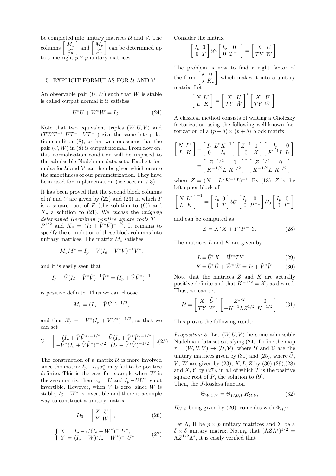be completed into unitary matrices  $\mathcal U$  and  $\mathcal V$ . The columns  $\left[\frac{M_u}{a^*}\right]$  $\beta_u^*$ and  $\left[\begin{array}{c} M_v \ \frac{\partial A_v}{\partial x} \end{array}\right]$  $\beta_v^*$ 1 can be determined up to some right  $p \times p$  unitary matrices.

#### 5. EXPLICIT FORMULAS FOR  $U$  AND  $V$ .

An observable pair  $(U, W)$  such that W is stable is called output normal if it satisfies

$$
U^*U + W^*W = I_\delta. \tag{24}
$$

Note that two equivalent triples  $(W, U, V)$  and  $(TWT^{-1}, UT^{-1}, VT^{-1})$  give the same interpolation condition (8), so that we can assume that the pair  $(U, W)$  in  $(8)$  is output normal. From now on, this normalization condition will be imposed to the admissible Nudelman data sets. Explicit formulas for  $U$  and  $V$  can then be given which ensure the smoothness of our parametrization. They have been used for implementation (see section 7.3).

It has been proved that the second block columns of U and V are given by  $(22)$  and  $(23)$  in which T is a square root of  $P$  (the solution to  $(9)$ ) and  $K_v$  a solution to  $(21)$ . We *choose* the *uniquely determined Hermitian positive square roots* T =  $P^{1/2}$  and  $K_v = (I_{\delta} + \tilde{V}^*\tilde{V})^{-1/2}$ . It remains to specify the completion of these block columns into unitary matrices. The matrix  $M_v$  satisfies

$$
M_v M_v^* = I_p - \tilde{V} (I_\delta + \tilde{V}^* \tilde{V})^{-1} \tilde{V}^*,
$$

and it is easily seen that

$$
I_p - \tilde{V} (I_{\delta} + \tilde{V}^* \tilde{V})^{-1} \tilde{V}^* = (I_p + \tilde{V} \tilde{V}^*)^{-1}
$$

is positive definite. Thus we can choose

$$
M_v = (I_p + \tilde{V}\tilde{V}^*)^{-1/2},
$$

and thus  $\beta_V^* = -\tilde{V}^*(I_p + \tilde{V}\tilde{V}^*)^{-1/2}$ , so that we can set

$$
\mathcal{V} = \begin{bmatrix} (I_p + \tilde{V}\tilde{V}^*)^{-1/2} & \tilde{V}(I_{\delta} + \tilde{V}^*\tilde{V})^{-1/2} \\ -\tilde{V}^*(I_p + \tilde{V}\tilde{V}^*)^{-1/2} & (I_{\delta} + \tilde{V}^*\tilde{V})^{-1/2} \end{bmatrix} . (25)
$$

The construction of a matrix  $U$  is more involved since the matrix  $I_p - \alpha_u \alpha_u^*$  may fail to be positive definite. This is the case for example when  $W$  is the zero matrix, then  $\alpha_u = U$  and  $\overline{I}_p - U U^*$  is not invertible. However, when  $V$  is zero, since  $W$  is stable,  $I_{\delta} - W^*$  is invertible and there is a simple way to construct a unitary matrix

$$
\mathcal{U}_0 = \begin{bmatrix} X & U \\ Y & W \end{bmatrix},\tag{26}
$$

$$
\begin{cases}\nX = I_p - U(I_\delta - W^*)^{-1}U^*,\\ \nY = (I_\delta - W)(I_\delta - W^*)^{-1}U^*.\n\end{cases}
$$
\n(27)

Consider the matrix

$$
\begin{bmatrix} I_p & 0 \\ 0 & T \end{bmatrix} \mathcal{U}_0 \begin{bmatrix} I_p & 0 \\ 0 & T^{-1} \end{bmatrix} = \begin{bmatrix} X & \tilde{U} \\ T Y & \tilde{W} \end{bmatrix}.
$$

The problem is now to find a right factor of the form  $\begin{bmatrix} \star & 0 \\ 0 & \kappa \end{bmatrix}$  $\star$  K<sub>v</sub> 1 which makes it into a unitary matrix. Let

$$
\left[ \begin{array}{c} N \ L^* \\ L \end{array} \right] = \left[ \begin{array}{c} X \ \ \tilde{U} \\ T Y \ \tilde{W} \end{array} \right]^* \left[ \begin{array}{c} X \ \ \tilde{U} \\ T Y \ \tilde{W} \end{array} \right].
$$

A classical method consists of writing a Cholesky factorization using the following well-known factorization of a  $(p + \delta) \times (p + \delta)$  block matrix

$$
\begin{bmatrix} N & L^* \\ L & K \end{bmatrix} = \begin{bmatrix} I_p & L^* K^{-1} \\ 0 & I_\delta \end{bmatrix} \begin{bmatrix} Z^{-1} & 0 \\ 0 & K \end{bmatrix} \begin{bmatrix} I_p & 0 \\ K^{-1} L & I_\delta \end{bmatrix}
$$

$$
= \begin{bmatrix} Z^{-1/2} & 0 \\ K^{-1/2} L & K^{1/2} \end{bmatrix}^* \begin{bmatrix} Z^{-1/2} & 0 \\ K^{-1/2} L & K^{1/2} \end{bmatrix}
$$

where  $Z = (N - L^*K^{-1}L)^{-1}$ . By (18), Z is the left upper block of

$$
\begin{bmatrix} N & L^* \\ L & K \end{bmatrix}^{-1} = \begin{bmatrix} I_p & 0 \\ 0 & T \end{bmatrix} \mathcal{U}_0^* \begin{bmatrix} I_p & 0 \\ 0 & P^{-1} \end{bmatrix} \mathcal{U}_0 \begin{bmatrix} I_p & 0 \\ 0 & T^* \end{bmatrix}
$$

and can be computed as

$$
Z = X^*X + Y^*P^{-1}Y.
$$
 (28)

The matrices  $L$  and  $K$  are given by

$$
L = \tilde{U}^* X + \tilde{W}^* TY \tag{29}
$$

$$
K = \tilde{U}^* \tilde{U} + \tilde{W}^* \tilde{W} = I_\delta + \tilde{V}^* \tilde{V}.
$$
 (30)

Note that the matrices  $Z$  and  $K$  are actually positive definite and that  $K^{-1/2} = K_v$  as desired. Thus, we can set

$$
\mathcal{U} = \begin{bmatrix} X & \tilde{U} \\ T Y & \tilde{W} \end{bmatrix} \begin{bmatrix} Z^{1/2} & 0 \\ -K^{-1} L Z^{1/2} & K^{-1/2} \end{bmatrix} \tag{31}
$$

This proves the following result:

*Proposition 3.* Let  $(W, U, V)$  be some admissible Nudelman data set satisfying (24). Define the map  $\tau: (W, U, V) \to (U, V)$ , where U and V are the unitary matrices given by (31) and (25), where  $\tilde{U}$ ,  $\widetilde{V}$ ,  $\widetilde{W}$  are given by (23),  $K, L, Z$  by (30),(29),(28) and  $X, Y$  by (27), in all of which  $T$  is the positive square root of  $P$ , the solution to  $(9)$ . Then, the J-lossless function

$$
\hat{\Theta}_{W,U,V} = \Theta_{W,U,V} H_{\mathcal{U},\mathcal{V}},\tag{32}
$$

 $H_{\mathcal{U},\mathcal{V}}$  being given by (20), coincides with  $\Phi_{\mathcal{U},\mathcal{V}}$ .

Let Λ, Π be  $p \times p$  unitary matrices and Σ be a δ × δ unitary matrix. Noting that  $(ΛZΛ^*)^{1/2}$  =  $\Lambda Z^{1/2}\Lambda^*$ , it is easily verified that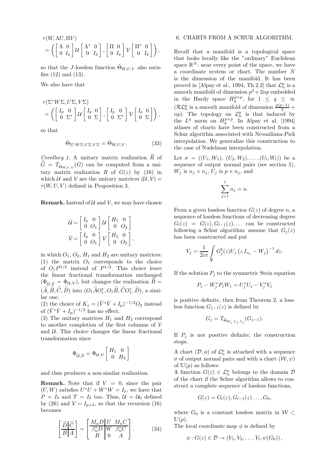$$
\tau(W, \Lambda U, \Pi V) = \left( \begin{bmatrix} \Lambda & 0 \\ 0 & I_{\delta} \end{bmatrix} \mathcal{U} \begin{bmatrix} \Lambda^* & 0 \\ 0 & I_{\delta} \end{bmatrix}, \begin{bmatrix} \Pi & 0 \\ 0 & I_{\delta} \end{bmatrix} \mathcal{V} \begin{bmatrix} \Pi^* & 0 \\ 0 & I_{\delta} \end{bmatrix} \right),
$$

so that the J-lossless function  $\Theta_{W,U,V}$  also satisfies (12) and (13).

We also have that

$$
\begin{split} &\tau(\Sigma^*W\Sigma, U\Sigma, V\Sigma)\\ &=\left(\left[\begin{smallmatrix}I_p&0\\0&\Sigma^*\end{smallmatrix}\right] \mathcal{U}\left[\begin{smallmatrix}I_p&0\\0&\Sigma\end{smallmatrix}\right],\left[\begin{smallmatrix}I_p&0\\0&\Sigma^*\end{smallmatrix}\right] \mathcal{V}\left[\begin{smallmatrix}I_p&0\\0&\Sigma\end{smallmatrix}\right]\right), \end{split}
$$

so that

$$
\hat{\Theta}_{\Sigma^*W\Sigma, U\Sigma, V\Sigma} = \hat{\Theta}_{W, U, V}.
$$
\n(33)

*Corollary 1.* A unitary matrix realization  $\widetilde{R}$  of  $G = T_{\hat{\Theta}_{W,U,V}}(G)$  can be computed from a unitary matrix realization R of  $G(z)$  by (16) in which U and V are the unitary matrices  $(U, V)$  =  $\tau(W, U, V)$  defined in Proposition 3.

**Remark.** Instead of  $U$  and  $V$ , we may have chosen

$$
\hat{\mathcal{U}} = \begin{bmatrix} I_p & 0 \\ 0 & O_1 \end{bmatrix} \mathcal{U} \begin{bmatrix} H_1 & 0 \\ 0 & O_2 \end{bmatrix}
$$

$$
\hat{\mathcal{V}} = \begin{bmatrix} I_p & 0 \\ 0 & O_1 \end{bmatrix} \mathcal{V} \begin{bmatrix} H_2 & 0 \\ 0 & O_2 \end{bmatrix}
$$

,

in which  $O_1$ ,  $O_2$ ,  $H_1$  and  $H_2$  are unitary matrices: (1) the matrix  $O_1$  corresponds to the choice of  $O_1P^{1/2}$  instead of  $P^{1/2}$ . This choice leave the linear fractional transformation unchanged  $(\Phi_{\hat{\mu}}\hat{\rho}=\Phi_{\mathcal{U},\mathcal{V}})$ , but changes the realization  $\hat{R}=$  $(\widetilde{A}, \widetilde{B}, \widetilde{C}, \widetilde{D})$  into  $(O_1 \widetilde{A} O_1^*, O_1 \widetilde{B}, \widetilde{C} O_1^*, \widetilde{D})$ , a similar one.

(2) the choice of  $K_v = (\tilde{V}^*\tilde{V} + I_p)^{-1/2}O_2$  instead of  $(\tilde{V}^*\tilde{V}+I_p)^{-1/2}$  has no effect.

(3) The unitary matrices  $H_1$  and  $H_2$  correspond to another completion of the first columns of  $V$ and  $U$ . This choice changes the linear fractional transformation since

$$
\Phi_{\hat{\mathcal{U}}, \hat{\mathcal{V}}} = \Phi_{\mathcal{U}, \mathcal{V}} \left[ \begin{array}{cc} H_1 & 0 \\ 0 & H_2 \end{array} \right]
$$

and thus produces a non-similar realization.

**Remark.** Note that if  $V = 0$ , since the pair  $(U, W)$  satisfies  $U^*U + W^*W = I_\delta$ , we have that  $P = I_{\delta}$  and  $T = I_{\delta}$  too. Thus,  $\mathcal{U} = \mathcal{U}_0$  defined by (26) and  $V = I_{p+\delta}$ , so that the recursion (16) becomes

$$
\left[\frac{\tilde{D}}{\tilde{B}}\left|\frac{\tilde{C}}{\tilde{A}}\right]\right] = \left[\begin{array}{cc|cc} M_u D & U & M_u C \\ \hline \beta_u D & W & \beta_u^* C \\ B & 0 & A \end{array}\right].\tag{34}
$$

#### 6. CHARTS FROM A SCHUR ALGORITHM.

Recall that a manifold is a topological space that looks locally like the "ordinary" Euclidean space  $\mathbb{R}^N$ : near every point of the space, we have a coordinate system or chart. The number N is the dimension of the manifold. It has been proved in [Alpay et al., 1994, Th.2.2] that  $\mathcal{L}_n^p$  is a smooth manifold of dimension  $p^2 + 2np$  embedded in the Hardy space  $H_q^{p\times p}$ , for  $1 \le q \le \infty$  $(\mathcal{RL}_{n}^{p}$  is a smooth manifold of dimension  $\frac{p(p-1)}{2}$  + np). The topology on  $\mathcal{L}_n^p$  is that induced by the  $L^q$  norm on  $H_q^{p\times p}$ . In Alpay et al. [1994] atlases of charts have been constructed from a Schur algorithm associated with Nevanlinna-Pick interpolation. We generalize this construction to the case of Nudelman interpolation.

Let  $\sigma = ((U_1, W_1), (U_2, W_2), \ldots, (U_l, W_l))$  be a sequence of output normal pairs (see section 5),  $W_j$  is  $n_j \times n_j$ ,  $U_j$  is  $p \times n_j$ , and

$$
\sum_{j=1}^{l} n_j = n.
$$

From a given lossless function  $G(z)$  of degree n, a sequence of lossless functions of decreasing degree  $G_l(z) = G(z), G_{l-1}(z), \ldots$  can be constructed following a Schur algorithm: assume that  $G_j(z)$ has been constructed and put

$$
V_j = \frac{1}{2i\pi} \int\limits_{\mathbf{T}} G_j^{\sharp}(z) U_j (z I_{n_j} - W_j)^{-1} dz.
$$

If the solution  $P_j$  to the symmetric Stein equation

$$
P_j - W_j^* P_j W_j = U_j^* U_j - V_j^* V_j
$$

is positive definite, then from Theorem 2, a lossless function  $G_{j-1}(z)$  is defined by

$$
G_j = T_{\hat{\Theta}_{W_j, U_j, V_j}}(G_{j-1}).
$$

If  $P_j$  is not positive definite, the construction stops.

A chart  $(\mathcal{D}, \phi)$  of  $\mathcal{L}_n^p$  is attached with a sequence  $\sigma$  of output normal pairs and with a chart  $(\mathcal{W}, \psi)$ of  $\mathbb{U}(p)$  as follows:

A function  $G(z) \in \mathcal{L}_n^p$  belongs to the domain  $\mathcal{D}$ of the chart if the Schur algorithm allows to construct a complete sequence of lossless functions,

$$
G(z)=G_l(z), G_{l-1}(z)\ldots, G_0,
$$

where  $G_0$  is a constant lossless matrix in  $W \subset$  $\mathbb{U}(p).$ 

The local coordinate map  $\phi$  is defined by

$$
\phi: G(z) \in \mathcal{D} \to (V_1, V_2, \ldots, V_l, \psi(G_0)),
$$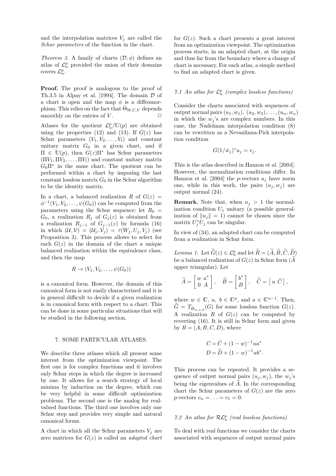and the interpolation matrices  $V_j$  are called the *Schur parameters* of the function in the chart.

*Theorem 3.* A family of charts  $(D, \phi)$  defines an atlas of  $\mathcal{L}_n^p$  provided the union of their domains covers  $\mathcal{L}_n^p$ .

Proof. The proof is analogous to the proof of Th.3.5 in Alpay et al. [1994]. The domain  $D$  of a chart is open and the map  $\phi$  is a diffeomorphism. This relies on the fact that  $\hat{\Theta}_{W,U,V}$  depends smoothly on the entries of  $V$ .

Atlases for the quotient  $\mathcal{L}_n^p/\mathbb{U}(p)$  are obtained using the properties (12) and (13). If  $G(z)$  has Schur parameters  $(V_1, V_2, \ldots, V_l)$  and constant unitary matrix  $G_0$  in a given chart, and if  $\Pi \in \mathbb{U}(p)$ , then  $G(z)\Pi^*$  has Schur parameters  $(\Pi V_1, \Pi V_2, \ldots, \Pi V_l)$  and constant unitary matrix  $G_0 \Pi^*$  in the same chart. The quotient can be performed within a chart by imposing the last constant lossless matrix  $G_0$  in the Schur algorithm to be the identity matrix.

In a chart, a balanced realization R of  $G(z)$  $\phi^{-1}(V_1, V_2, \ldots, \psi(G_0))$  can be computed from the parameters using the Schur sequence: let  $R_0 =$  $G_0$ , a realization  $R_j$  of  $G_j(z)$  is obtained from a realization  $R_{j-1}$  of  $G_{j-1}(z)$  by formula (16) in which  $(\mathcal{U}, \mathcal{V}) = (\mathcal{U}_j, \mathcal{V}_j) = \tau(W_j, U_j, V_j)$  (see Proposition 3). This process allows to select for each  $G(z)$  in the domain of the chart a unique balanced realization within the equivalence class, and then the map

$$
R \to (V_1, V_2, \ldots, \psi(G_0))
$$

is a canonical form. However, the domain of this canonical form is not easily characterized and it is in general difficult to decide if a given realization is in canonical form with respect to a chart. This can be done in some particular situations that will be studied in the following section.

#### 7. SOME PARTICULAR ATLASES.

We describe three atlases which all present some interest from the optimization viewpoint. The first one is for complex functions and it involves only Schur steps in which the degree is increased by one. It allows for a search strategy of local minima by induction on the degree, which can be very helpful in some difficult optimization problems. The second one is the analog for realvalued functions. The third one involves only one Schur step and provides very simple and natural canonical forms.

A chart in which all the Schur parameters  $V_i$  are zero matrices for G(z) is called an *adapted chart* for  $G(z)$ . Such a chart presents a great interest from an optimization viewpoint. The optimization process starts, in an adapted chart, at the origin and thus far from the boundary where a change of chart is necessary. For each atlas, a simple method to find an adapted chart is given.

### $7.1$  An atlas for  $\mathcal{L}_n^p$  (complex lossless functions)

Consider the charts associated with sequences of output normal pairs  $(u_1, w_1), (u_2, w_2), \ldots, (u_n, w_n)$ in which the  $w_j$ 's are complex numbers. In this case, the Nudelman interpolation condition (8) can be rewritten as a Nevanlinna-Pick interpolation condition

$$
G(1/\bar{w}_j)^*u_j=v_j.
$$

This is the atlas described in Hanzon et al. [2004]. However, the normalization conditions differ. In Hanzon et al. [2004] the *p*-vectors  $u_i$  have norm one, while in this work, the pairs  $(u_i, w_i)$  are output normal (24).

**Remark.** Note that, when  $n_i > 1$  the normalization condition  $U_j$  unitary (a possible generalization of  $||u_j|| = 1$ ) cannot be chosen since the matrix  $U_j^* U_j$  can be singular.

In view of (34), an adapted chart can be computed from a realization in Schur form.

*Lemma 1.* Let  $\widehat{G}(z) \in \mathcal{L}_n^p$  and let  $\widehat{R} = (\widehat{A}, \widehat{B}, \widehat{C}, \widehat{D})$ be a balanced realization of  $G(z)$  in Schur form  $(A$ upper triangular). Let

$$
\widetilde{A} = \begin{bmatrix} w & a^* \\ 0 & A \end{bmatrix}, \quad \widetilde{B} = \begin{bmatrix} b^* \\ B \end{bmatrix}, \quad \widetilde{C} = \begin{bmatrix} u & \hat{C} \end{bmatrix},
$$

where  $w \in \mathbb{C}$ ,  $u, b \in \mathbb{C}^p$ , and  $a \in \mathbb{C}^{n-1}$ . Then,  $G = T_{\hat{\Theta}_{w,u,0}}(G)$  for some lossless function  $G(z)$ . A realization  $R$  of  $G(z)$  can be computed by reverting (16). It is still in Schur form and given by  $R = (A, B, C, D)$ , where

$$
C = \hat{C} + (1 - w)^{-1} u a^*
$$
  

$$
D = \tilde{D} + (1 - w)^{-1} u b^*.
$$

This process can be repeated. It provides a sequence of output normal pairs  $(u_i, w_j)$ , the  $w_j$ 's being the eigenvalues of  $\widetilde{A}$ . In the corresponding chart the Schur parameters of  $G(z)$  are the zero  $p\text{-vectors } v_n = \ldots = v_1 = 0.$ 

### $7.2$  An atlas for  $\mathcal{RL}_{n}^{p}$  (real lossless functions)

To deal with real functions we consider the charts associated with sequences of output normal pairs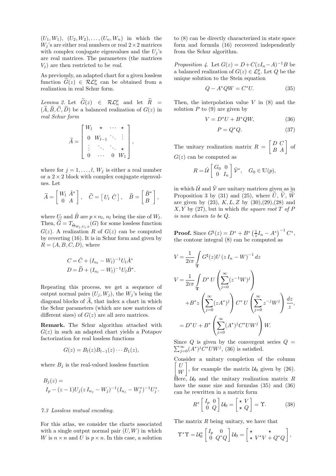$(U_1, W_1), (U_2, W_2), \ldots, (U_n, W_n)$  in which the  $W_i$ 's are either real numbers or real  $2 \times 2$  matrices with complex conjugate eigenvalues and the  $U_i$ 's are real matrices. The parameters (the matrices  $V_i$ ) are then restricted to be *real*.

As previously, an adapted chart for a given lossless function  $\widehat{G}(z) \in \mathcal{RL}_n^p$  can be obtained from a realization in real Schur form.

 $\text{Lemma 2. Let } \widetilde{G}(z) \in \mathcal{RL}_n^p \text{ and let } R =$  $(\widetilde{A}, \widetilde{B}, \widetilde{C}, \widetilde{D})$  be a balanced realization of  $G(z)$  in *real Schur form*

$$
\widetilde{A} = \begin{bmatrix} W_l & \star & \cdots & \star \\ 0 & W_{l-1} & \ddots & \vdots \\ \vdots & \ddots & \ddots & \star \\ 0 & \cdots & 0 & W_1 \end{bmatrix},
$$

where for  $j = 1, \ldots, l, W_j$  is either a real number or a  $2 \times 2$  block with complex conjugate eigenvalues. Let

$$
\widetilde{A} = \begin{bmatrix} W_l & \hat{A}^* \\ 0 & A \end{bmatrix}, \quad \widetilde{C} = \begin{bmatrix} U_l & \hat{C} \end{bmatrix}, \quad \widetilde{B} = \begin{bmatrix} \hat{B}^* \\ B \end{bmatrix},
$$

where  $U_l$  and  $\hat{B}$  are  $p \times n_l$ ,  $n_l$  being the size of  $W_l$ . Then,  $G = T_{\hat{\Theta}_{W_l, U_l, 0}}(G)$  for some lossless function  $G(z)$ . A realization R of  $G(z)$  can be computed by reverting (16). It is in Schur form and given by  $R = (A, B, C, D)$ , where

$$
C = \hat{C} + (I_{n_l} - W_l)^{-1} U_l \hat{A}^*
$$
  

$$
D = \tilde{D} + (I_{n_l} - W_l)^{-1} U_l \hat{B}^*.
$$

Repeating this process, we get a sequence of output normal pairs  $(U_i, W_j)$ , the  $W_j$ 's being the diagonal blocks of  $\widetilde{A}$ , that index a chart in which the Schur parameters (which are now matrices of different sizes) of  $G(z)$  are all zero matrices.

Remark. The Schur algorithm attached with  $G(z)$  in such an adapted chart yields a Potapov factorization for real lossless functions

$$
G(z) = Bl(z)Bl-1(z) \cdots B1(z),
$$

where  $B_i$  is the real-valued lossless function

$$
B_j(z) =
$$
  
\n
$$
I_p - (z - 1)U_j(z I_{n_j} - W_j)^{-1} (I_{n_j} - W_j^*)^{-1} U_j^*.
$$

#### *7.3 Lossless mutual encoding.*

For this atlas, we consider the charts associated with a single output normal pair  $(U, W)$  in which W is  $n \times n$  and U is  $p \times n$ . In this case, a solution to (8) can be directly characterized in state space form and formula (16) recovered independently from the Schur algorithm.

*Proposition 4.* Let  $G(z) = D + C(zI_n - A)^{-1}B$  be a balanced realization of  $G(z) \in \mathcal{L}_n^p$ . Let  $Q$  be the unique solution to the Stein equation

$$
Q - A^* Q W = C^* U. \tag{35}
$$

Then, the interpolation value  $V$  in  $(8)$  and the solution  $P$  to  $(9)$  are given by

$$
V = D^*U + B^*QW, \tag{36}
$$

$$
P = Q^*Q. \tag{37}
$$

The unitary realization matrix  $R =$  $\begin{bmatrix} D & C \\ B & A \end{bmatrix}$  of  $G(z)$  can be computed as

$$
R = \hat{\mathcal{U}} \begin{bmatrix} G_0 & 0 \\ 0 & I_n \end{bmatrix} \hat{\mathcal{V}}^*, \quad G_0 \in \mathbb{U}(p),
$$

in which  $\hat{U}$  and  $\hat{V}$  are unitary matrices given as in Proposition 3 by (31) and (25), where  $\tilde{U}$ ,  $\tilde{V}$ ,  $\tilde{W}$ are given by  $(23)$ ,  $K, L, Z$  by  $(30),(29),(28)$  and X, Y by (27), but in which *the square root* T *of* P *is now chosen to be* Q.

**Proof.** Since  $G^{\sharp}(z) = D^* + B^* \left(\frac{1}{z}I_n - A^*\right)^{-1} C^*,$ the contour integral (8) can be computed as

$$
V = \frac{1}{2i\pi} \int_{\mathbf{T}} G^{\sharp}(z) U (z I_n - W)^{-1} dz
$$
  
\n
$$
V = \frac{1}{2i\pi} \int_{\mathbf{T}} D^* U \left( \sum_{j=0}^{\infty} (z^{-1} W)^j \right)
$$
  
\n
$$
+ B^* z \left( \sum_{j=0}^{\infty} (z A^*)^j \right) C^* U \left( \sum_{j=0}^{\infty} z^{-j} W^j \right) \frac{dz}{z},
$$
  
\n
$$
= D^* U + B^* \left( \sum_{j=0}^{\infty} (A^*)^j C^* U W^j \right) W.
$$

 $\sum_{j=0}^{\infty} (A^*)^j C^* U W^j$ , (36) is satisfied. Since  $Q$  is given by the convergent series  $Q =$ 

Consider a unitary completion of the column  $\lceil U \rceil$ W 1 , for example the matrix  $U_0$  given by (26). Here,  $\mathcal{U}_0$  and the unitary realization matrix R have the same size and formulas (35) and (36) can be rewritten in a matrix form

$$
R^* \begin{bmatrix} I_p & 0 \\ 0 & Q \end{bmatrix} \mathcal{U}_0 = \begin{bmatrix} \star & V \\ \star & Q \end{bmatrix} = \Upsilon.
$$
 (38)

The matrix R being unitary, we have that

$$
\Upsilon^*\Upsilon = \mathcal{U}_0^* \begin{bmatrix} I_p & 0 \\ 0 & Q^*Q \end{bmatrix} \mathcal{U}_0 = \begin{bmatrix} \star & \star \\ \star & V^*V + Q^*Q \end{bmatrix},
$$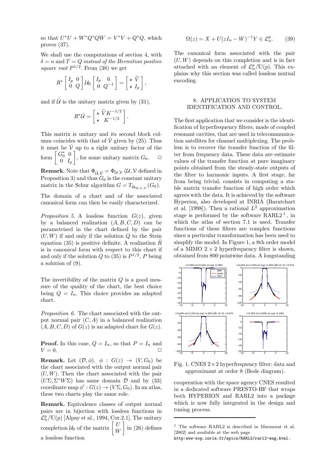so that  $U^*U + W^*Q^*QW = V^*V + Q^*Q$ , which proves (37).

We shall use the computations of section 4, with  $\delta = n$  and  $T = Q$  *instead of the Hermitian positive* square root  $P^{1/2}$ . From (38) we get

$$
R^* \begin{bmatrix} I_p & 0 \\ 0 & Q \end{bmatrix} \mathcal{U}_0 \begin{bmatrix} I_p & 0 \\ 0 & Q^{-1} \end{bmatrix} = \begin{bmatrix} \star \ \tilde{V} \\ \star \ I_p \end{bmatrix}
$$

,

and if  $\hat{U}$  is the unitary matrix given by (31),

$$
R^*\hat{\mathcal{U}} = \begin{bmatrix} \star \ \widetilde{V} K^{-1/2} \\ \star \ K^{-1/2} \end{bmatrix}.
$$

This matrix is unitary and its second block column coincides with that of  $\hat{V}$  given by (25). Thus it must be  $\hat{V}$  up to a right unitary factor of the form  $G_0^*$  0  $0 \tI_p$ , for some unitary matrix  $G_0$ .  $\Box$ 

**Remark.** Note that  $\Phi_{\hat{U}, \hat{V}} = \Phi_{\mathcal{U}, \mathcal{V}} (\mathcal{U}, \mathcal{V})$  defined in Proposition 3) and thus  $G_0$  is the constant unitary matrix in the Schur algorithm  $G = T_{\hat{\Theta}_{W,U,V}}(G_0)$ .

The domain of a chart and of the associated canonical form can then be easily characterized.

*Proposition 5.* A lossless function  $G(z)$ , given by a balanced realization  $(A, B, C, D)$  can be parametrized in the chart defined by the pair  $(U, W)$  if and only if the solution  $Q$  to the Stein equation (35) is positive definite. A realization  $R$ is in canonical form with respect to this chart if and only if the solution  $Q$  to (35) is  $P^{1/2}$ , P being a solution of (9).

The invertibility of the matrix  $Q$  is a good measure of the quality of the chart, the best choice being  $Q = I_n$ . This choice provides an adapted chart.

*Proposition 6.* The chart associated with the output normal pair  $(C, A)$  in a balanced realization  $(A, B, C, D)$  of  $G(z)$  is an adapted chart for  $G(z)$ .

**Proof.** In this case,  $Q = I_n$ , so that  $P = I_n$  and  $V = 0.$ 

**Remark.** Let  $(\mathcal{D}, \phi)$ ,  $\phi : G(z) \rightarrow (V, G_0)$  be the chart associated with the output normal pair  $(U, W)$ . Then the chart associated with the pair  $(U\Sigma, \Sigma^* W \Sigma)$  has same domain  $\mathcal D$  and by (33) coordinate map  $\phi': G(z) \to (V\Sigma, G_0)$ . In an atlas, these two charts play the same role.

Remark. Equivalence classes of output normal pairs are in bijection with lossless functions in  $\mathcal{L}_n^p/\mathbb{U}(p)$  [Alpay et al., 1994, Cor.2.1]. The unitary completion  $\mathcal{U}_0$  of the matrix  $\begin{bmatrix} U \\ W \end{bmatrix}$ W 1 in (26) defines a lossless function

$$
\Omega(z) = X + U(zI_n - W)^{-1}Y \in \mathcal{L}_n^p. \tag{39}
$$

The canonical form associated with the pair  $(U, W)$  depends on this completion and is in fact attached with an element of  $\mathcal{L}_n^p/\mathbb{U}(p)$ . This explains why this section was called lossless mutual encoding.

#### 8. APPLICATION TO SYSTEM IDENTIFICATION AND CONTROL.

The first application that we consider is the identification of hyperfrequency filters, made of coupled resonant cavities, that are used in telecommunication satellites for channel multiplexing. The problem is to recover the transfer function of the filter from frequency data. These data are estimate values of the transfer function at pure imaginary points obtained from the steady-state outputs of the filter to harmonic inputs. A first stage, far from being trivial, consists in computing a stable matrix transfer function of high order which agrees with the data. It is achieved by the software Hyperion, also developed at INRIA (Baratchart et al. [1998]). Then a rational  $L^2$  approximation stage is performed by the software  $\text{RARL2}^1$ , in which the atlas of section 7.1 is used. Transfer functions of these filters are complex functions since a particular transformation has been used to simplify the model. In Figure 1, a 8th order model of a MIMO  $2 \times 2$  hyperfrequency filter is shown, obtained from 800 pointwise data. A longstanding



Fig. 1. CNES  $2 \times 2$  hyperfrequency filter: data and approximant at order 8 (Bode diagram).

cooperation with the space agency CNES resulted in a dedicated software PRESTO-HF that wraps both HYPERION and RARL2 into a package which is now fully integrated in the design and tuning process.

<sup>1</sup> The software RARL2 is described in Marmorat et al. [2002] and available at the web page

http:www-sop.inria.fr/apics/RARL2/rarl2-eng.html.